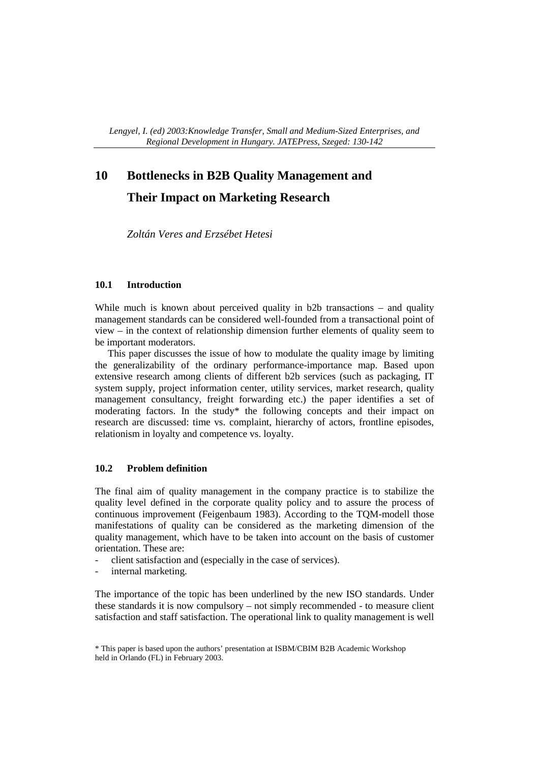# **10 Bottlenecks in B2B Quality Management and**

## **Their Impact on Marketing Research**

*Zoltán Veres and Erzsébet Hetesi* 

## **10.1 Introduction**

While much is known about perceived quality in b2b transactions – and quality management standards can be considered well-founded from a transactional point of view – in the context of relationship dimension further elements of quality seem to be important moderators.

This paper discusses the issue of how to modulate the quality image by limiting the generalizability of the ordinary performance-importance map. Based upon extensive research among clients of different b2b services (such as packaging, IT system supply, project information center, utility services, market research, quality management consultancy, freight forwarding etc.) the paper identifies a set of moderating factors. In the study\* the following concepts and their impact on research are discussed: time vs. complaint, hierarchy of actors, frontline episodes, relationism in loyalty and competence vs. loyalty.

## **10.2 Problem definition**

The final aim of quality management in the company practice is to stabilize the quality level defined in the corporate quality policy and to assure the process of continuous improvement (Feigenbaum 1983). According to the TQM-modell those manifestations of quality can be considered as the marketing dimension of the quality management, which have to be taken into account on the basis of customer orientation. These are:

- client satisfaction and (especially in the case of services).
- internal marketing.

The importance of the topic has been underlined by the new ISO standards. Under these standards it is now compulsory – not simply recommended - to measure client satisfaction and staff satisfaction. The operational link to quality management is well

<sup>\*</sup> This paper is based upon the authors' presentation at ISBM/CBIM B2B Academic Workshop held in Orlando (FL) in February 2003.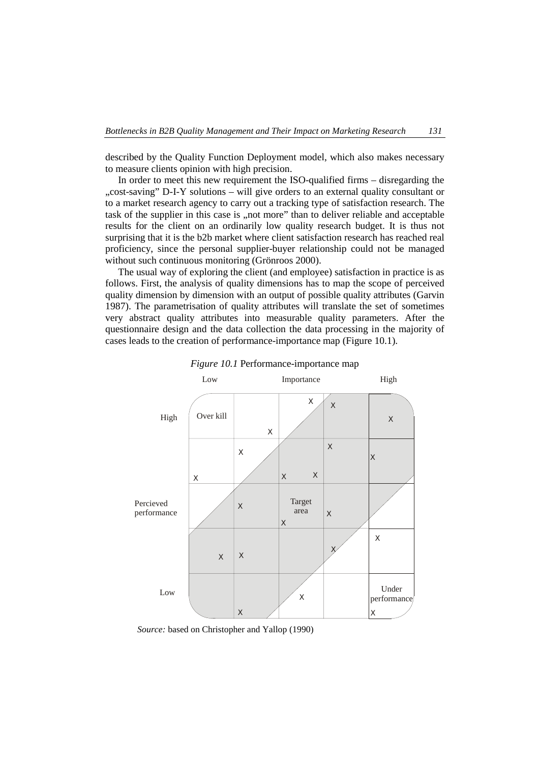described by the Quality Function Deployment model, which also makes necessary to measure clients opinion with high precision.

In order to meet this new requirement the ISO-qualified firms – disregarding the "cost-saving" D-I-Y solutions – will give orders to an external quality consultant or to a market research agency to carry out a tracking type of satisfaction research. The task of the supplier in this case is , not more" than to deliver reliable and acceptable results for the client on an ordinarily low quality research budget. It is thus not surprising that it is the b2b market where client satisfaction research has reached real proficiency, since the personal supplier-buyer relationship could not be managed without such continuous monitoring (Grönroos 2000).

The usual way of exploring the client (and employee) satisfaction in practice is as follows. First, the analysis of quality dimensions has to map the scope of perceived quality dimension by dimension with an output of possible quality attributes (Garvin 1987). The parametrisation of quality attributes will translate the set of sometimes very abstract quality attributes into measurable quality parameters. After the questionnaire design and the data collection the data processing in the majority of cases leads to the creation of performance-importance map (Figure 10.1).





*Source:* based on Christopher and Yallop (1990)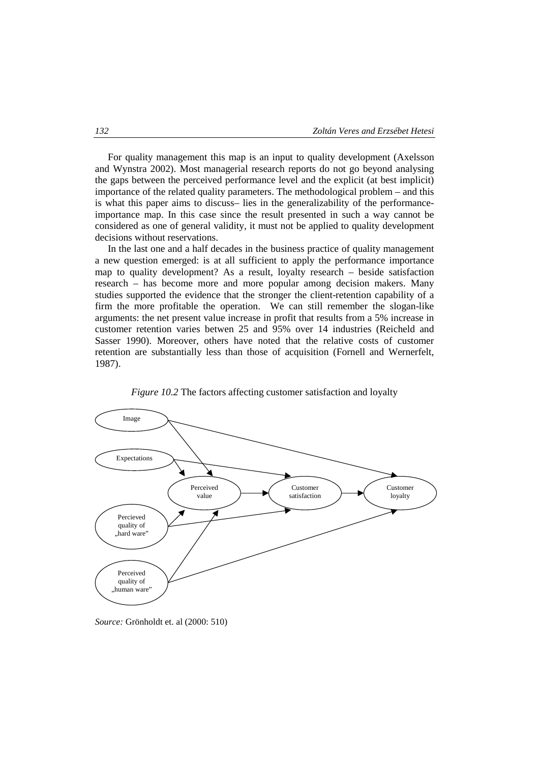For quality management this map is an input to quality development (Axelsson and Wynstra 2002). Most managerial research reports do not go beyond analysing the gaps between the perceived performance level and the explicit (at best implicit) importance of the related quality parameters. The methodological problem – and this is what this paper aims to discuss– lies in the generalizability of the performanceimportance map. In this case since the result presented in such a way cannot be considered as one of general validity, it must not be applied to quality development decisions without reservations.

In the last one and a half decades in the business practice of quality management a new question emerged: is at all sufficient to apply the performance importance map to quality development? As a result, loyalty research – beside satisfaction research – has become more and more popular among decision makers. Many studies supported the evidence that the stronger the client-retention capability of a firm the more profitable the operation. We can still remember the slogan-like arguments: the net present value increase in profit that results from a 5% increase in customer retention varies betwen 25 and 95% over 14 industries (Reicheld and Sasser 1990). Moreover, others have noted that the relative costs of customer retention are substantially less than those of acquisition (Fornell and Wernerfelt, 1987).





*Source:* Grönholdt et. al (2000: 510)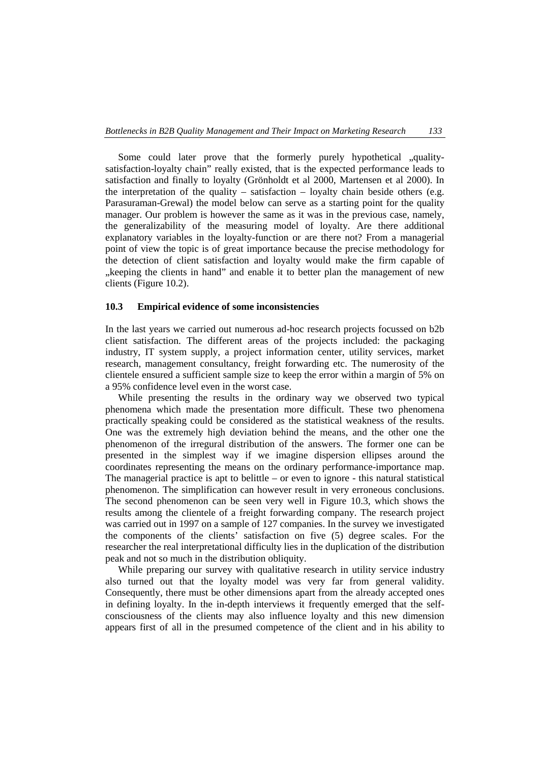Some could later prove that the formerly purely hypothetical "qualitysatisfaction-loyalty chain" really existed, that is the expected performance leads to satisfaction and finally to loyalty (Grönholdt et al 2000, Martensen et al 2000). In the interpretation of the quality – satisfaction – loyalty chain beside others (e.g. Parasuraman-Grewal) the model below can serve as a starting point for the quality manager. Our problem is however the same as it was in the previous case, namely, the generalizability of the measuring model of loyalty. Are there additional explanatory variables in the loyalty-function or are there not? From a managerial point of view the topic is of great importance because the precise methodology for the detection of client satisfaction and loyalty would make the firm capable of ... keeping the clients in hand" and enable it to better plan the management of new clients (Figure 10.2).

## **10.3 Empirical evidence of some inconsistencies**

In the last years we carried out numerous ad-hoc research projects focussed on b2b client satisfaction. The different areas of the projects included: the packaging industry, IT system supply, a project information center, utility services, market research, management consultancy, freight forwarding etc. The numerosity of the clientele ensured a sufficient sample size to keep the error within a margin of 5% on a 95% confidence level even in the worst case.

While presenting the results in the ordinary way we observed two typical phenomena which made the presentation more difficult. These two phenomena practically speaking could be considered as the statistical weakness of the results. One was the extremely high deviation behind the means, and the other one the phenomenon of the irregural distribution of the answers. The former one can be presented in the simplest way if we imagine dispersion ellipses around the coordinates representing the means on the ordinary performance-importance map. The managerial practice is apt to belittle – or even to ignore - this natural statistical phenomenon. The simplification can however result in very erroneous conclusions. The second phenomenon can be seen very well in Figure 10.3, which shows the results among the clientele of a freight forwarding company. The research project was carried out in 1997 on a sample of 127 companies. In the survey we investigated the components of the clients' satisfaction on five (5) degree scales. For the researcher the real interpretational difficulty lies in the duplication of the distribution peak and not so much in the distribution obliquity.

While preparing our survey with qualitative research in utility service industry also turned out that the loyalty model was very far from general validity. Consequently, there must be other dimensions apart from the already accepted ones in defining loyalty. In the in-depth interviews it frequently emerged that the selfconsciousness of the clients may also influence loyalty and this new dimension appears first of all in the presumed competence of the client and in his ability to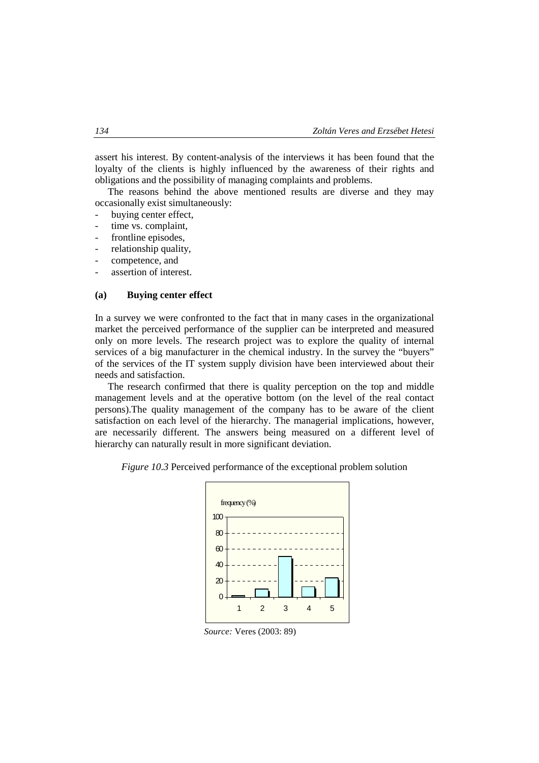assert his interest. By content-analysis of the interviews it has been found that the loyalty of the clients is highly influenced by the awareness of their rights and obligations and the possibility of managing complaints and problems.

The reasons behind the above mentioned results are diverse and they may occasionally exist simultaneously:

- buying center effect,
- time vs. complaint.
- frontline episodes,
- relationship quality,
- competence, and
- assertion of interest.

### **(a) Buying center effect**

In a survey we were confronted to the fact that in many cases in the organizational market the perceived performance of the supplier can be interpreted and measured only on more levels. The research project was to explore the quality of internal services of a big manufacturer in the chemical industry. In the survey the "buyers" of the services of the IT system supply division have been interviewed about their needs and satisfaction.

The research confirmed that there is quality perception on the top and middle management levels and at the operative bottom (on the level of the real contact persons).The quality management of the company has to be aware of the client satisfaction on each level of the hierarchy. The managerial implications, however, are necessarily different. The answers being measured on a different level of hierarchy can naturally result in more significant deviation.

*Figure 10.3* Perceived performance of the exceptional problem solution



*Source:* Veres (2003: 89)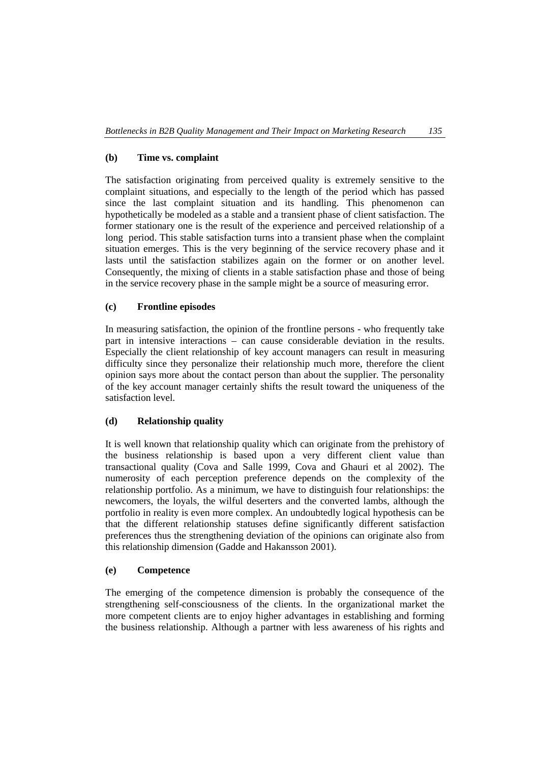## **(b) Time vs. complaint**

The satisfaction originating from perceived quality is extremely sensitive to the complaint situations, and especially to the length of the period which has passed since the last complaint situation and its handling. This phenomenon can hypothetically be modeled as a stable and a transient phase of client satisfaction. The former stationary one is the result of the experience and perceived relationship of a long period. This stable satisfaction turns into a transient phase when the complaint situation emerges. This is the very beginning of the service recovery phase and it lasts until the satisfaction stabilizes again on the former or on another level. Consequently, the mixing of clients in a stable satisfaction phase and those of being in the service recovery phase in the sample might be a source of measuring error.

## **(c) Frontline episodes**

In measuring satisfaction, the opinion of the frontline persons - who frequently take part in intensive interactions – can cause considerable deviation in the results. Especially the client relationship of key account managers can result in measuring difficulty since they personalize their relationship much more, therefore the client opinion says more about the contact person than about the supplier. The personality of the key account manager certainly shifts the result toward the uniqueness of the satisfaction level.

## **(d) Relationship quality**

It is well known that relationship quality which can originate from the prehistory of the business relationship is based upon a very different client value than transactional quality (Cova and Salle 1999, Cova and Ghauri et al 2002). The numerosity of each perception preference depends on the complexity of the relationship portfolio. As a minimum, we have to distinguish four relationships: the newcomers, the loyals, the wilful deserters and the converted lambs, although the portfolio in reality is even more complex. An undoubtedly logical hypothesis can be that the different relationship statuses define significantly different satisfaction preferences thus the strengthening deviation of the opinions can originate also from this relationship dimension (Gadde and Hakansson 2001).

## **(e) Competence**

The emerging of the competence dimension is probably the consequence of the strengthening self-consciousness of the clients. In the organizational market the more competent clients are to enjoy higher advantages in establishing and forming the business relationship. Although a partner with less awareness of his rights and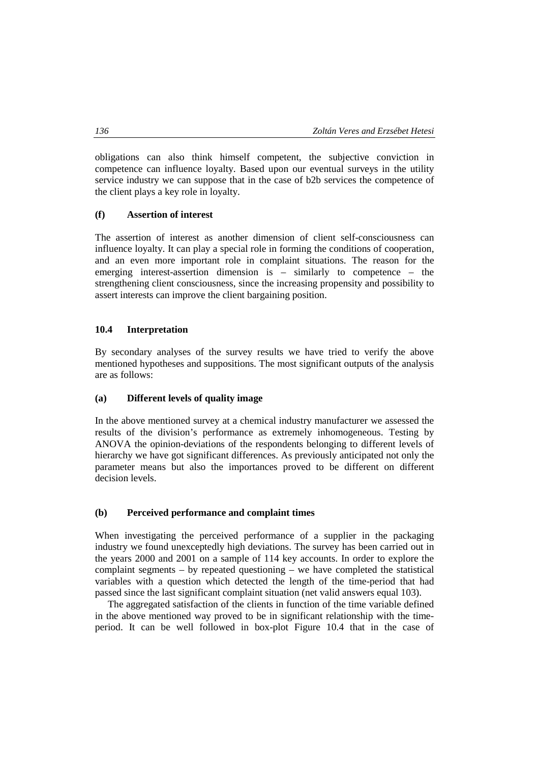obligations can also think himself competent, the subjective conviction in competence can influence loyalty. Based upon our eventual surveys in the utility service industry we can suppose that in the case of b2b services the competence of the client plays a key role in loyalty.

## **(f) Assertion of interest**

The assertion of interest as another dimension of client self-consciousness can influence loyalty. It can play a special role in forming the conditions of cooperation, and an even more important role in complaint situations. The reason for the emerging interest-assertion dimension is – similarly to competence – the strengthening client consciousness, since the increasing propensity and possibility to assert interests can improve the client bargaining position.

### **10.4 Interpretation**

By secondary analyses of the survey results we have tried to verify the above mentioned hypotheses and suppositions. The most significant outputs of the analysis are as follows:

### **(a) Different levels of quality image**

In the above mentioned survey at a chemical industry manufacturer we assessed the results of the division's performance as extremely inhomogeneous. Testing by ANOVA the opinion-deviations of the respondents belonging to different levels of hierarchy we have got significant differences. As previously anticipated not only the parameter means but also the importances proved to be different on different decision levels.

### **(b) Perceived performance and complaint times**

When investigating the perceived performance of a supplier in the packaging industry we found unexceptedly high deviations. The survey has been carried out in the years 2000 and 2001 on a sample of 114 key accounts. In order to explore the complaint segments – by repeated questioning – we have completed the statistical variables with a question which detected the length of the time-period that had passed since the last significant complaint situation (net valid answers equal 103).

The aggregated satisfaction of the clients in function of the time variable defined in the above mentioned way proved to be in significant relationship with the timeperiod. It can be well followed in box-plot Figure 10.4 that in the case of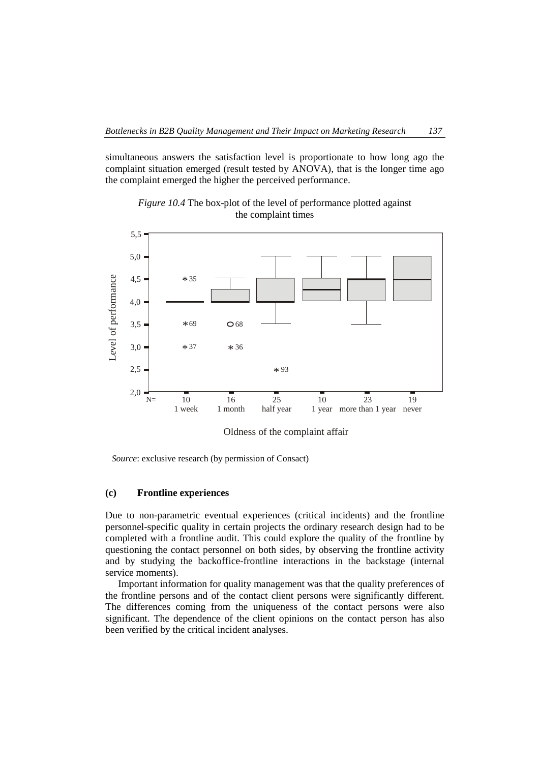simultaneous answers the satisfaction level is proportionate to how long ago the complaint situation emerged (result tested by ANOVA), that is the longer time ago the complaint emerged the higher the perceived performance.



*Figure 10.4* The box-plot of the level of performance plotted against the complaint times

Oldness of the complaint affair

*Source*: exclusive research (by permission of Consact)

#### **(c) Frontline experiences**

Due to non-parametric eventual experiences (critical incidents) and the frontline personnel-specific quality in certain projects the ordinary research design had to be completed with a frontline audit. This could explore the quality of the frontline by questioning the contact personnel on both sides, by observing the frontline activity and by studying the backoffice-frontline interactions in the backstage (internal service moments).

Important information for quality management was that the quality preferences of the frontline persons and of the contact client persons were significantly different. The differences coming from the uniqueness of the contact persons were also significant. The dependence of the client opinions on the contact person has also been verified by the critical incident analyses.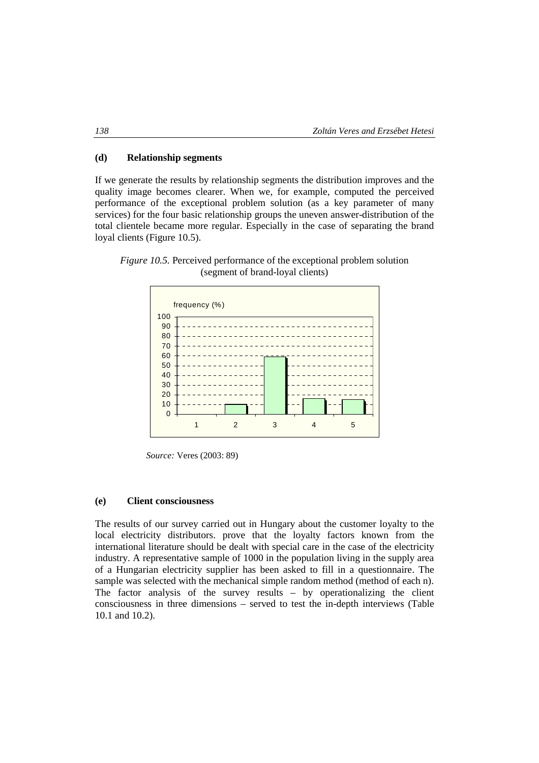#### **(d) Relationship segments**

If we generate the results by relationship segments the distribution improves and the quality image becomes clearer. When we, for example, computed the perceived performance of the exceptional problem solution (as a key parameter of many services) for the four basic relationship groups the uneven answer-distribution of the total clientele became more regular. Especially in the case of separating the brand loyal clients (Figure 10.5).





*Source:* Veres (2003: 89)

#### **(e) Client consciousness**

The results of our survey carried out in Hungary about the customer loyalty to the local electricity distributors. prove that the loyalty factors known from the international literature should be dealt with special care in the case of the electricity industry. A representative sample of 1000 in the population living in the supply area of a Hungarian electricity supplier has been asked to fill in a questionnaire. The sample was selected with the mechanical simple random method (method of each n). The factor analysis of the survey results – by operationalizing the client consciousness in three dimensions – served to test the in-depth interviews (Table 10.1 and 10.2).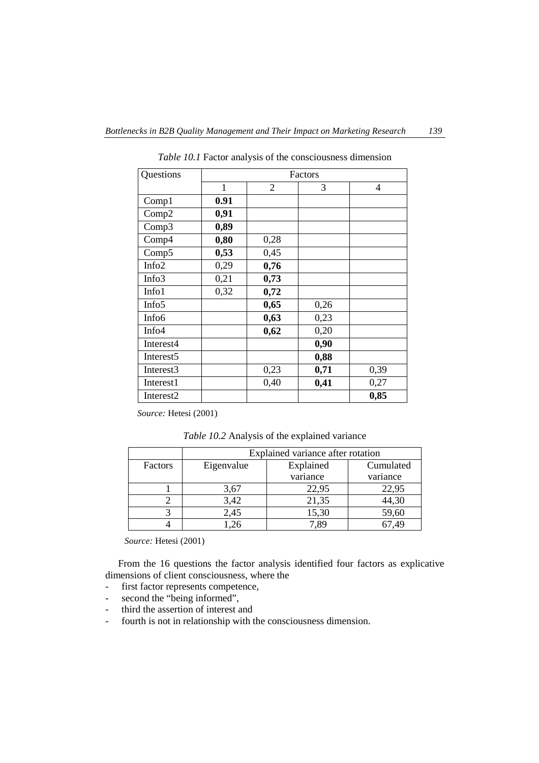| Questions             | Factors      |                |      |                |
|-----------------------|--------------|----------------|------|----------------|
|                       | $\mathbf{1}$ | $\overline{2}$ | 3    | $\overline{4}$ |
| Comp1                 | 0.91         |                |      |                |
| Comp2                 | 0,91         |                |      |                |
| Comp3                 | 0,89         |                |      |                |
| Comp4                 | 0,80         | 0,28           |      |                |
| Comp5                 | 0,53         | 0,45           |      |                |
| Info <sub>2</sub>     | 0,29         | 0,76           |      |                |
| Info3                 | 0,21         | 0,73           |      |                |
| Info1                 | 0,32         | 0,72           |      |                |
| Info <sub>5</sub>     |              | 0,65           | 0,26 |                |
| Info6                 |              | 0,63           | 0,23 |                |
| Info <sub>4</sub>     |              | 0,62           | 0,20 |                |
| Interest4             |              |                | 0,90 |                |
| Interest <sub>5</sub> |              |                | 0,88 |                |
| Interest3             |              | 0,23           | 0,71 | 0,39           |
| Interest1             |              | 0,40           | 0,41 | 0,27           |
| Interest <sub>2</sub> |              |                |      | 0,85           |

*Table 10.1* Factor analysis of the consciousness dimension

*Source:* Hetesi (2001)

*Table 10.2* Analysis of the explained variance

|         | Explained variance after rotation |           |           |  |  |
|---------|-----------------------------------|-----------|-----------|--|--|
| Factors | Eigenvalue                        | Explained | Cumulated |  |  |
|         |                                   | variance  | variance  |  |  |
|         | 3,67                              | 22,95     | 22,95     |  |  |
|         | 3,42                              | 21,35     | 44,30     |  |  |
|         | 2,45                              | 15,30     | 59,60     |  |  |
|         |                                   | ' 89      | 7,49      |  |  |

*Source:* Hetesi (2001)

From the 16 questions the factor analysis identified four factors as explicative dimensions of client consciousness, where the

- first factor represents competence,
- second the "being informed",
- third the assertion of interest and
- fourth is not in relationship with the consciousness dimension.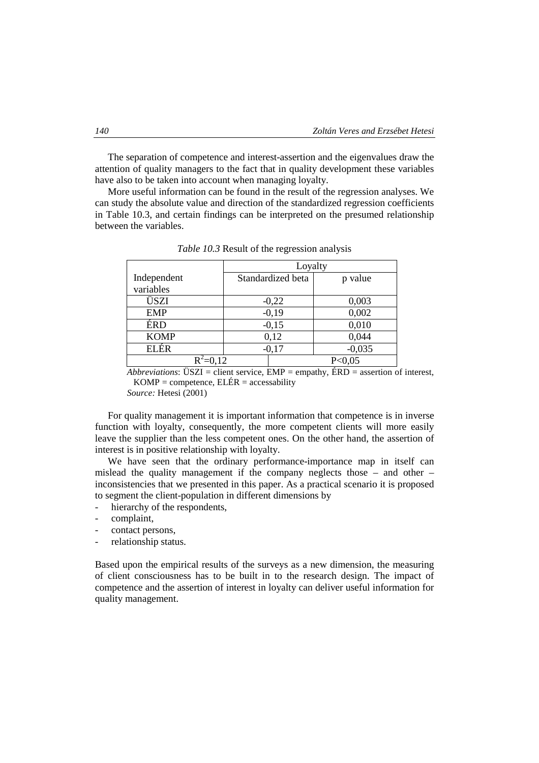The separation of competence and interest-assertion and the eigenvalues draw the attention of quality managers to the fact that in quality development these variables have also to be taken into account when managing loyalty.

More useful information can be found in the result of the regression analyses. We can study the absolute value and direction of the standardized regression coefficients in Table 10.3, and certain findings can be interpreted on the presumed relationship between the variables.

|             | Loyalty           |          |  |
|-------------|-------------------|----------|--|
| Independent | Standardized beta | p value  |  |
| variables   |                   |          |  |
| ÜSZI        | $-0,22$           | 0,003    |  |
| <b>EMP</b>  | $-0,19$           | 0,002    |  |
| ÉRD         | $-0,15$           | 0,010    |  |
| <b>KOMP</b> | 0,12              | 0,044    |  |
| <b>ELÉR</b> | $-0,17$           | $-0,035$ |  |
| $^{2}=0.12$ |                   | P<0,05   |  |

*Table 10.3* Result of the regression analysis

*Abbreviations*: ÜSZI = client service, EMP = empathy, ÉRD = assertion of interest,  $KOMP = \text{compact}, ELÉR = \text{accessability}$ 

*Source:* Hetesi (2001)

For quality management it is important information that competence is in inverse function with loyalty, consequently, the more competent clients will more easily leave the supplier than the less competent ones. On the other hand, the assertion of interest is in positive relationship with loyalty.

We have seen that the ordinary performance-importance map in itself can mislead the quality management if the company neglects those – and other – inconsistencies that we presented in this paper. As a practical scenario it is proposed to segment the client-population in different dimensions by

- hierarchy of the respondents,
- complaint,
- contact persons,
- relationship status.

Based upon the empirical results of the surveys as a new dimension, the measuring of client consciousness has to be built in to the research design. The impact of competence and the assertion of interest in loyalty can deliver useful information for quality management.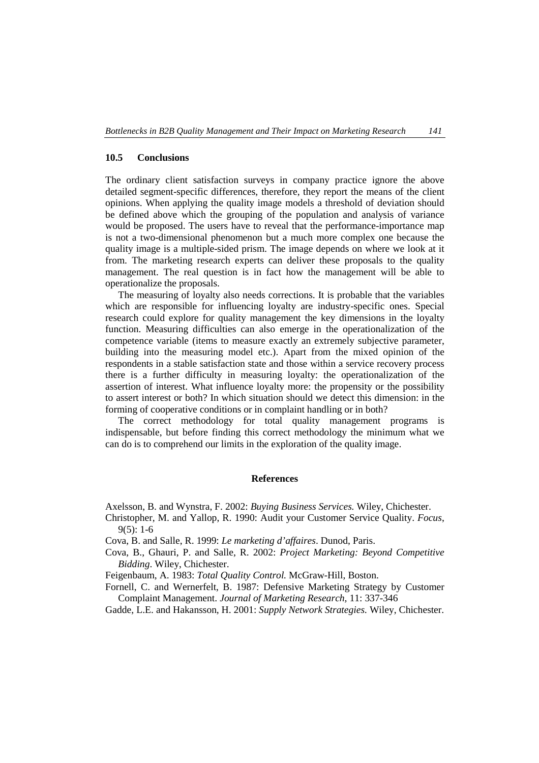#### **10.5 Conclusions**

The ordinary client satisfaction surveys in company practice ignore the above detailed segment-specific differences, therefore, they report the means of the client opinions. When applying the quality image models a threshold of deviation should be defined above which the grouping of the population and analysis of variance would be proposed. The users have to reveal that the performance-importance map is not a two-dimensional phenomenon but a much more complex one because the quality image is a multiple-sided prism. The image depends on where we look at it from. The marketing research experts can deliver these proposals to the quality management. The real question is in fact how the management will be able to operationalize the proposals.

The measuring of loyalty also needs corrections. It is probable that the variables which are responsible for influencing loyalty are industry-specific ones. Special research could explore for quality management the key dimensions in the loyalty function. Measuring difficulties can also emerge in the operationalization of the competence variable (items to measure exactly an extremely subjective parameter, building into the measuring model etc.). Apart from the mixed opinion of the respondents in a stable satisfaction state and those within a service recovery process there is a further difficulty in measuring loyalty: the operationalization of the assertion of interest. What influence loyalty more: the propensity or the possibility to assert interest or both? In which situation should we detect this dimension: in the forming of cooperative conditions or in complaint handling or in both?

The correct methodology for total quality management programs is indispensable, but before finding this correct methodology the minimum what we can do is to comprehend our limits in the exploration of the quality image.

### **References**

Axelsson, B. and Wynstra, F. 2002: *Buying Business Services.* Wiley, Chichester.

- Christopher, M. and Yallop, R. 1990: Audit your Customer Service Quality. *Focus*, 9(5): 1-6
- Cova, B. and Salle, R. 1999: *Le marketing d'affaires*. Dunod, Paris.
- Cova, B., Ghauri, P. and Salle, R. 2002: *Project Marketing: Beyond Competitive Bidding*. Wiley, Chichester.
- Feigenbaum, A. 1983: *Total Quality Control.* McGraw-Hill, Boston.
- Fornell, C. and Wernerfelt, B. 1987: Defensive Marketing Strategy by Customer Complaint Management. *Journal of Marketing Research,* 11: 337-346
- Gadde, L.E. and Hakansson, H. 2001: *Supply Network Strategies.* Wiley, Chichester.